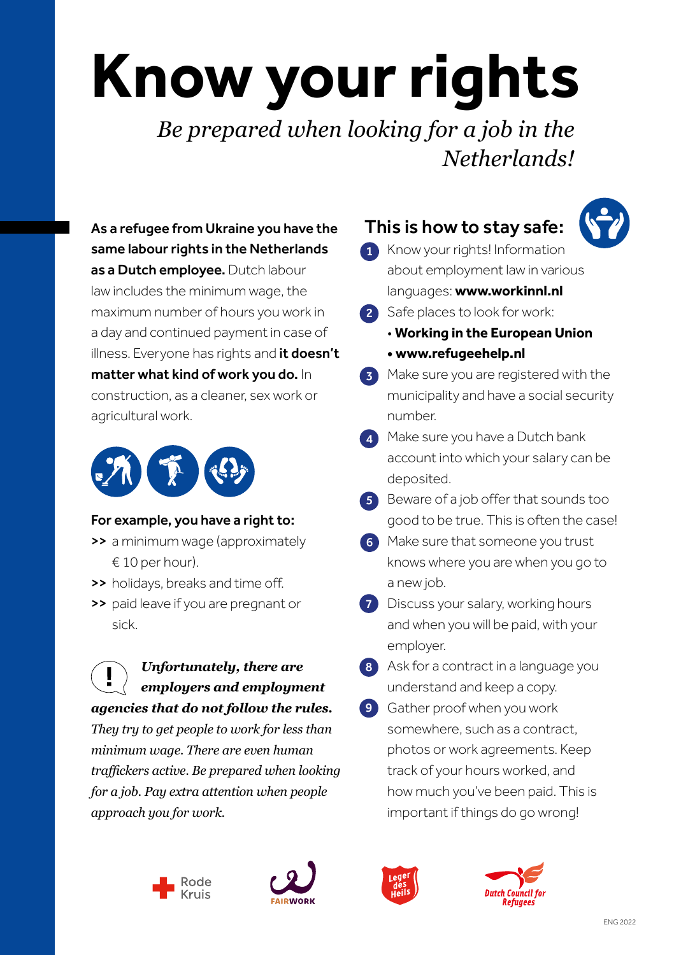# **Know your rights**

# *Be prepared when looking for a job in the Netherlands!*

As a refugee from Ukraine you have the same labour rights in the Netherlands as a Dutch employee. Dutch labour law includes the minimum wage, the maximum number of hours you work in a day and continued payment in case of illness. Everyone has rights and it doesn't matter what kind of work you do. In construction, as a cleaner, sex work or agricultural work.



#### For example, you have a right to:

- >> a minimum wage (approximately € 10 per hour).
- >> holidays, breaks and time off.
- >> paid leave if you are pregnant or sick.

#### *Unfortunately, there are employers and employment agencies that do not follow the rules.*

*They try to get people to work for less than minimum wage. There are even human traffickers active. Be prepared when looking for a job. Pay extra attention when people approach you for work.*

## This is how to stay safe:



- 1 Know your rights! Information about employment law in various languages: **[www.workinnl.nl](https://www.workinnl.nl/default.aspx)**
- 2 Safe places to look for work:
	- **[Working in the European Union](https://european-union.europa.eu/live-work-study/working-eu_en)**
	- **• [www.refugeehelp.nl](http://www.refugeehelp.nl)**
- **3** Make sure you are registered with the municipality and have a social security number.
- Make sure you have a Dutch bank 4 account into which your salary can be deposited.
- **5** Beware of a job offer that sounds too good to be true. This is often the case!
- 6 Make sure that someone you trust knows where you are when you go to a new job.
- **7** Discuss your salary, working hours and when you will be paid, with your employer.
- Ask for a contract in a language you 8 understand and keep a copy.
- **9** Gather proof when you work somewhere, such as a contract, photos or work agreements. Keep track of your hours worked, and how much you've been paid. This is important if things do go wrong!